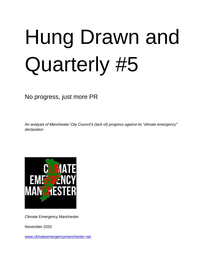# Hung Drawn and Quarterly #5

No progress, just more PR

*An analysis of Manchester City Council's (lack of) progress against its "climate emergency" declaration*



Climate Emergency Manchester

November 2020

[www.climateemergencymanchester.net](http://www.climateemergencymanchester.net/)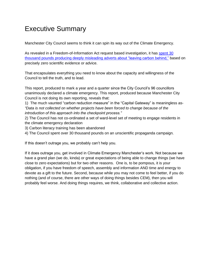# Executive Summary

Manchester City Council seems to think it can spin its way out of the Climate Emergency.

As revealed in a Freedom-of-Information Act request based investigation, it has [spent 30](https://climateemergencymanchester.net/2020/10/07/that-were-leaving-carbon-behind-campaign-council-admits-not-based-on-scientific-fact-30k-wasted-on-misleading-feel-good-tosh/)  [thousand pounds producing deeply misleading adverts](https://climateemergencymanchester.net/2020/10/07/that-were-leaving-carbon-behind-campaign-council-admits-not-based-on-scientific-fact-30k-wasted-on-misleading-feel-good-tosh/) about "leaving carbon behind," based on precisely zero scientific evidence or advice.

That encapsulates everything you need to know about the capacity and willingness of the Council to tell the truth, and to lead.

This report, produced to mark a year and a quarter since the City Council's 96 councillors unanimously declared a climate emergency. This report, produced because Manchester City Council is not doing its own reporting, reveals that:

1) The much vaunted "carbon reduction measure" in the "Capital Gateway" is meaningless as- *"Data is not collected on whether projects have been forced to change because of the introduction of this approach into the checkpoint process."*

2) The Council has not co-ordinated a set of ward-level set of meeting to engage residents in the climate emergency declaration

3) Carbon literacy training has been abandoned

4) The Council spent over 30 thousand pounds on an unscientific propaganda campaign.

If this doesn't outrage you, we probably can't help you.

If it does outrage you, get involved in Climate Emergency Manchester's work. Not because we have a grand plan (we do, kinda) or great expectations of being able to change things (we have close to zero expectations) but for two other reasons. One is, to be pompous, it is your obligation, if you have freedom of speech, assembly and information AND time and energy to devote as a gift to the future. Second, because while you may not come to feel better, if you do nothing (and of course, there are other ways of doing things besides CEM), then you will probably feel worse. And doing things requires, we think, collaborative and collective action.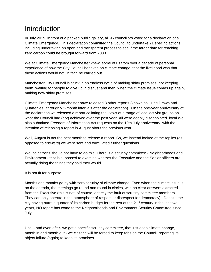# **Introduction**

In July 2019, in front of a packed public gallery, all 96 councillors voted for a declaration of a Climate Emergency. This declaration committed the Council to undertake 21 specific actions, including undertaking an open and transparent process to see if the target date for reaching zero carbon could be brought forward from 2038.

We at Climate Emergency Manchester knew, some of us from over a decade of personal experience of how the City Council behaves on climate change, that the likelihood was that these actions would not, in fact, be carried out.

Manchester City Council is stuck in an endless cycle of making shiny promises, not keeping them, waiting for people to give up in disgust and then, when the climate issue comes up again, making new shiny promises.

Climate Emergency Manchester have released 3 other reports (known as Hung Drawn and Quarterlies, at roughly 3-month intervals after the declaration). On the one-year anniversary of the declaration we released a report collating the views of a range of local activist groups on what the Council had (not) achieved over the past year. All were deeply disappointed. local We also submitted Freedom of Information Act requests on the 10th July anniversary, with the intention of releasing a report in August about the previous year.

Well, August is not the best month to release a report. So, we instead looked at the replies (as opposed to *answers*) we were sent and formulated further questions.

We, as citizens should not have to do this. There is a scrutiny committee - Neighborhoods and Environment - that is supposed to examine whether the Executive and the Senior officers are actually doing the things they said they would.

It is not fit for purpose.

Months and months go by with zero scrutiny of climate change. Even when the climate issue is on the agenda, the meetings go round and round in circles, with no clear answers extracted from the Executive (this is not, of course, entirely the fault of scrutiny committee members. They can only operate in the atmosphere of respect or disrespect for democracy). Despite the city having burnt a quarter of its carbon budget for the rest of the  $21^{st}$  century in the last two years, NO report has come to the Neighborhoods and Environment Scrutiny Committee since July.

Until - and even after- we get a specific scrutiny committee, that just does climate change, month in and month out - we citizens will be forced to keep tabs on the Council, reporting its abject failure (again) to keep its promises.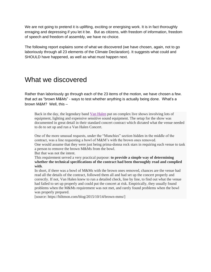We are not going to pretend it is uplifting, exciting or energising work. It is in fact thoroughly enraging and depressing if you let it be. But as citizens, with freedom of information, freedom of speech and freedom of assembly, we have no choice.

The following report explains some of what we discovered (we have chosen, again, not to go laboriously through all 23 elements of the Climate Declaration). It suggests what could and SHOULD have happened, as well as what must happen next.

## What we discovered

Rather than laboriously go through each of the 23 items of the motion, we have chosen a few. that act as "brown M&Ms" - ways to test whether anything is actually being done. What's a brown M&M? Well, this –

Back in the day, the legendary band Van [Halen](http://www.van-halen.com/) put on complex live shows involving lots of equipment, lighting and expensive sensitive sound equipment. The setup for the show was documented in great detail in their standard concert contract which dictated what the venue needed to do to set up and run a Van Halen Concert.

One of the more unusual requests, under the "Munchies" section hidden in the middle of the contract, was a line requesting a bowl of M&M's with the brown ones removed. One would assume that they were just being prima-donna rock stars in requiring each venue to task a person to remove the brown M&Ms from the bowl.

But that was not the intent.

This requirement served a very practical purpose: **to provide a simple way of determining whether the technical specifications of the contract had been thoroughly read and complied with**.

In short, if there was a bowl of M&Ms with the brown ones removed, chances are the venue had read all the details of the contract, followed them all and had set up the concert properly and correctly. If not, Van Halen knew to run a detailed check, line by line, to find out what the venue had failed to set up properly and could put the concert at risk. Empirically, they usually found problems when the M&Ms requirement was not met, and rarely found problems when the bowl was properly prepared.

[source: https://hiltmon.com/blog/2015/10/14/brown-mms/]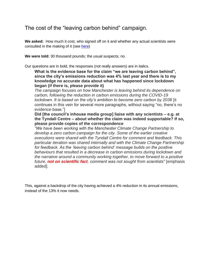## The cost of the "leaving carbon behind" campaign.

**We asked:** How much it cost, who signed off on it and whether any actual scientists were consulted in the making of it (see [here\)](https://climateemergencymanchester.net/2020/10/07/that-were-leaving-carbon-behind-campaign-council-admits-not-based-on-scientific-fact-30k-wasted-on-misleading-feel-good-tosh/)

**We were told:** 30 thousand pounds; the usual suspects; no.

Our questions are in bold, the responses (not really answers) are in italics.

**What is the evidence base for the claim "we are leaving carbon behind", since the city's emissions reduction was 4% last year and there is to my knowledge no accurate data about what has happened since lockdown began (if there is, please provide it)**

*The campaign focuses on how Manchester is leaving behind its dependence on carbon, following the reduction in carbon emissions during the COVID-19 lockdown. It is based on the city's ambition to become zero carbon by 2038* [it continues in this vein for several more paragraphs, without saying "no, there's no evidence-base."]

**Did [the council's inhouse media group] liaise with any scientists – e.g. at the Tyndall Centre – about whether the claim was indeed supportable? If so, please provide copies of the correspondence**

*"We have been working with the Manchester Climate Change Partnership to develop a zero carbon campaign for the city. Some of the earlier creative executions were shared with the Tyndall Centre for comment and feedback. This particular iteration was shared internally and with the Climate Change Partnership for feedback. As the 'leaving carbon behind' message builds on the positive behaviours that resulted in a decrease in carbon emissions during lockdown and the narrative around a community working together, to move forward to a positive future, not on scientific fact, comment was not sought from scientists"* [emphasis added].

This, against a backdrop of the city having achieved a 4% reduction in its annual emissions, instead of the 13% it now needs.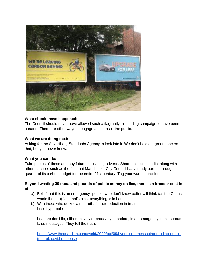

#### **What should have happened:**

The Council should never have allowed such a flagrantly misleading campaign to have been created. There are other ways to engage and consult the public.

#### **What we are doing next:**

Asking for the Advertising Standards Agency to look into it. We don't hold out great hope on that, but you never know.

#### **What you can do:**

Take photos of these and any future misleading adverts. Share on social media, along with other statistics such as the fact that Manchester City Council has already burned through a quarter of its carbon budget for the entire 21st century. Tag your ward councillors.

#### **Beyond wasting 30 thousand pounds of public money on lies, there is a broader cost is of**

- a) Belief that this is an emergency- people who don't know better will think (as the Council wants them to) "ah, that's nice, everything is in hand
- b) With those who do know the truth, further reduction in trust. Less hyperbole

Leaders don't lie, either actively or passively. Leaders, in an emergency, don't spread false messages. They tell the truth.

[https://www.theguardian.com/world/2020/oct/09/hyperbolic-messaging-eroding-public](https://www.theguardian.com/world/2020/oct/09/hyperbolic-messaging-eroding-public-trust-uk-covid-response)[trust-uk-covid-response](https://www.theguardian.com/world/2020/oct/09/hyperbolic-messaging-eroding-public-trust-uk-covid-response)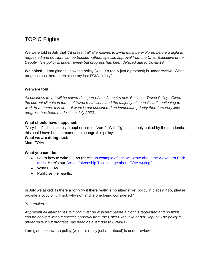## TOPIC Flights

We were told in July that *"At present all alternatives to flying must be explored before a flight is requested and no flight can be booked without specific approval from the Chief Executive or her Deputy. The policy is under review but progress has been delayed due to Covid-19*.

**We asked:** I am glad to know the policy (well, it's really just a protocol) is under review. What progress has there been since my last FOIA in July?

#### **We were told:**

*All business travel will be covered as part of the Council's new Business Travel Policy. Given the current climate in terms of travel restrictions and the majority of council staff continuing to work from home, this area of work is not considered an immediate priority therefore very little progress has been made since July 2020.* 

#### **What should have happened:**

"Very little" - that's surely a euphemism or "zero". With flights suddenly halted by the pandemic, this could have been a moment to change this policy.

#### **What we are doing next:**

More FOIAs

#### **What you can do:**

- Learn how to write FOIAs (here's an example of one we wrote about the Alexandra Park [trees.](https://climateemergencymanchester.net/2020/06/27/doomed-trees-in-alexandra-park-manchester-a-freedom-of-information-act-request-activecitizenshiptoolkit/) Here's our [Active Citizenship Toolkit page about FOIA writing.\)](http://activecitizenshiptoolkit.net/elements/freedom-of-information-act-writing)
- Write FOIAs
- Publicise the results.

In July we asked "Is there a "only fly if there really is no alternative" policy in place? If so, please provide a copy of it. If not, why not, and is one being considered?"

#### *You replied:*

*At present all alternatives to flying must be explored before a flight is requested and no flight can be booked without specific approval from the Chief Executive or her Deputy. The policy is under review but progress has been delayed due to Covid-19*.

I am glad to know the policy (well, it's really just a protocol) is under review.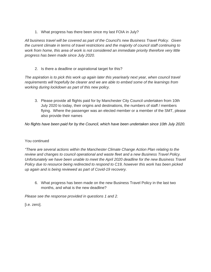1. What progress has there been since my last FOIA in July?

*All business travel will be covered as part of the Council's new Business Travel Policy. Given the current climate in terms of travel restrictions and the majority of council staff continuing to work from home, this area of work is not considered an immediate priority therefore very little progress has been made since July 2020.* 

2. Is there a deadline or aspirational target for this?

*The aspiration is to pick this work up again later this year/early next year, when council travel requirements will hopefully be clearer and we are able to embed some of the learnings from working during lockdown as part of this new policy.*

3. Please provide all flights paid for by Manchester City Council undertaken from 10th July 2020 to today, their origins and destinations, the numbers of staff / members flying. Where the passenger was an elected member or a member of the SMT, please also provide their names

*No flights have been paid for by the Council, which have been undertaken since 10th July 2020.* 

#### You continued

*"There are several actions within the Manchester Climate Change Action Plan relating to the review and changes to council operational and waste fleet and a new Business Travel Policy. Unfortunately we have been unable to meet the April 2020 deadline for the new Business Travel Policy due to resource being redirected to respond to C19, however this work has been picked up again and is being reviewed as part of Covid-19 recovery.*

6. What progress has been made on the new Business Travel Policy in the last two months, and what is the new deadline?

*Please see the response provided in questions 1 and 2.*

[i.e. zero].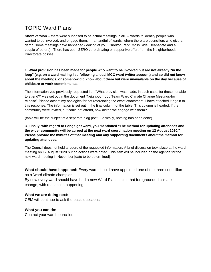## TOPIC Ward Plans

**Short version** – there were supposed to be actual meetings in all 32 wards to identify people who wanted to be involved, and engage them. In a handful of wards, where there are councillors who give a damn, some meetings have happened (looking at you, Chorlton Park, Moss Side, Deansgate and a couple of others). There has been ZERO co-ordinating or supportive effort from the Neighborhoods Directorate bosses.

**1. What provision has been made for people who want to be involved but are not already "in the loop" (e.g. on a ward mailing list, following a local MCC ward twitter account) and so did not know about the meetings, or somehow did know about them but were unavailable on the day because of childcare or work commitments.**

The information you previously requested i.e.: "What provision was made, in each case, for those not able to attend?" was set out in the document 'Neighbourhood Team Ward Climate Change Meetings-for release'. Please accept my apologies for not referencing the exact attachment. I have attached it again to this response. The information is set out in the final column of the table. This column is headed: If the community were invited, but could not attend, how did/do we engage with them?

(table will be the subject of a separate blog post. Basically, nothing has been done).

**3. Finally, with regard to Longsight ward, you mentioned "The method for updating attendees and the wider community will be agreed at the next ward coordination meeting on 12 August 2020." Please provide the minutes of that meeting and any supporting documents about the method for updating attendees.**

The Council does not hold a record of the requested information. A brief discussion took place at the ward meeting on 12 August 2020 but no actions were noted. This item will be included on the agenda for the next ward meeting in November [date to be determined].

**What should have happened:** Every ward should have appointed one of the three councillors as a 'ward climate champion'.

By now every ward should have had a new Ward Plan in situ, that foregrounded climate change, with real action happening.

#### **What we are doing next:**

CEM will continue to ask the basic questions

#### **What you can do:**

Contact your ward councillors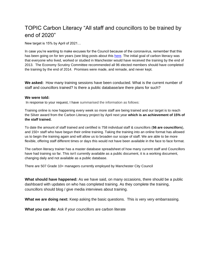## TOPIC Carbon Literacy "All staff and councillors to be trained by end of 2020"

New target is 15% by April of 2021…

In case you're wanting to make excuses for the Council because of the coronavirus, remember that this has been going on for ten years (see blog posts about this [here.](https://manchesterclimatemonthly.net/?s=carbon+literacy+training) The initial goal of carbon literacy was that everyone who lived, worked or studied in Manchester would have received the training by the end of 2013. The Economy Scrutiny Committee recommended all 96 elected members should have completed the training by the end of 2014. Promises were made, and remade, and never kept.

**We asked:** How many training sessions have been conducted. What is the current number of staff and councillors trained? Is there a public database/are there plans for such?

#### **We were told:**

In response to your request, I have summarised the information as follows:

Training online is now happening every week so more staff are being trained and our target is to reach the Silver award from the Carbon Literacy project by April next year **which is an achievement of 15% of the staff trained.**

To date the amount of staff trained and certified is 758 individual staff & councillors (**56 are councillors**), and 150+ staff who have begun their online training. Taking the training into an online format has allowed us to begin the training again and will allow us to broaden our scope of staff. We are able to be more flexible, offering staff different times or days this would not have been available in the face to face format.

The carbon literacy trainer has a master database spreadsheet of how many current staff and Councillors have had training so far. This isn't currently available as a public document, it is a working document, changing daily and not available as a public database.

There are 507 Grade 10+ managers currently employed by Manchester City Council

**What should have happened:** As we have said, on many occasions, there should be a public dashboard with updates on who has completed training. As they complete the training, councillors should blog / give media interviews about training.

**What we are doing next:** Keep asking the basic questions. This is very very embarrassing.

**What you can do:** Ask if your councillors are carbon literate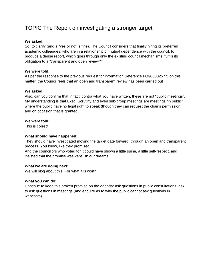## TOPIC The Report on investigating a stronger target

#### **We asked:**

So, to clarify (and a "yes or no" is fine). The Council considers that finally hiring its preferred academic colleagues, who are in a relationship of mutual dependence with the council, to produce a dense report, which goes through only the existing council mechanisms, fulfils its obligation to a "transparent and open review"?

#### **We were told:**

As per the response to the previous request for information (reference FOI/00002577) on this matter, the Council feels that an open and transparent review has been carried out

#### **We asked:**

Also, can you confirm that in fact, contra what you have written, these are not "public meetings". My understanding is that Exec, Scrutiny and even sub-group meetings are meetings "in public" where the public have no legal right to speak (though they can request the chair's permission and on occasion that is granted.

#### **We were told:**

This is correct.

#### **What should have happened:**

They should have investigated moving the target date forward, through an open and transparent process. You know, like they promised.

And the councillors who voted for it could have shown a little spine, a little self-respect, and insisted that the promise was kept. In our dreams...

#### **What we are doing next:**

We will blog about this. For what it is worth.

#### **What you can do:**

Continue to keep this broken promise on the agenda: ask questions in public consultations, ask to ask questions in meetings (and enquire as to why the public cannot ask questions in webcasts).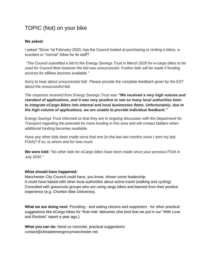## TOPIC (Not) on your bike

#### **We asked:**

I asked "Since 1st February 2020, has the Council looked at purchasing or renting e-bikes, escooters or "normal" bikes for its staff?

*"The Council submitted a bid to the Energy Savings Trust in March 2020 for e-cargo bikes to be used for Council fleet however the bid was unsuccessful. Further bids will be made if funding sources for eBikes become available."* 

Sorry to hear about unsuccessful bid! Please provide the complete feedback given by the EST about the unsuccessful bid.

*The response received from Energy Savings Trust was "We received a very high volume and standard of applications, and it was very positive to see so many local authorities keen to integrate eCargo Bikes into internal and local businesses fleets. Unfortunately, due to the high volume of applications, we are unable to provide individual feedback."*

*Energy Savings Trust informed us that they are in ongoing discussion with the Department for Transport regarding the potential for more funding* in this area and will contact bidders when additional funding becomes available.

Have any other bids been made since that one (in the last two months since I sent my last FOIA)? If so, to whom and for how much

**We were told:** "*No other bids for eCargo bikes have been made since your previous FOIA in July 2020."* 

#### **What should have happened:**

Manchester City Council could have, you know, shown some leadership. It could have liaised with other local authorities about active travel (walking and cycling) Consulted with grassroots groups who are using cargo bikes and learned from their positive experience (e.g. Chorlton Bike Deliveries).

**What we are doing next:** Providing - and asking citizens and supporters - for other practical suggestions like eCargo bikes for 'final mile' deliveries (the kind that we put in our "With Love and Rockets" report a year ago.).

What you can do: Send us concrete, practical suggestions: contact@climateemergencymanchester.net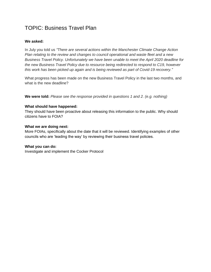## TOPIC: Business Travel Plan

#### **We asked:**

In July you told us *"There are several actions within the Manchester Climate Change Action Plan relating to the review and changes to council operational and waste fleet and a new Business Travel Policy. Unfortunately we have been unable to meet the April 2020 deadline for the new Business Travel Policy due to resource being redirected to respond to C19, however this work has been picked up again and is being reviewed as part of Covid-19 recovery."*

What progress has been made on the new Business Travel Policy in the last two months, and what is the new deadline?

**We were told:** *Please see the response provided in questions 1 and 2. (e.g. nothing)*

#### **What should have happened:**

They should have been proactive about releasing this information to the public. Why should citizens have to FOIA?

#### **What we are doing next:**

More FOIAs, specifically about the date that it will be reviewed. Identifying examples of other councils who are 'leading the way' by reviewing their business travel policies.

#### **What you can do:**

Investigate and implement the Cocker Protocol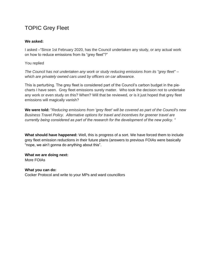## TOPIC Grey Fleet

#### **We asked:**

I asked –"Since 1st February 2020, has the Council undertaken any study, or any actual work on how to reduce emissions from its "grey fleet"?"

You replied

*The Council has not undertaken any work or study reducing emissions from its "grey fleet" – which are privately owned cars used by officers on car allowance.*

This is perturbing. The grey fleet is considered part of the Council's carbon budget in the piecharts I have seen. Grey fleet emissions surely matter. Who took the decision not to undertake any work or even study on this? When? Will that be reviewed, or is it just hoped that grey fleet emissions will magically vanish?

**We were told:** "*Reducing emissions from 'grey fleet' will be covered as part of the Council's new Business Travel Policy. Alternative options for travel and incentives for greener travel are currently being considered as part of the research for the development of the new policy. "*

**What should have happened:** Well, this is progress of a sort. We have forced them to include grey fleet emission reductions in their future plans (answers to previous FOIAs were basically "nope, we ain't gonna do anything about this".

**What we are doing next:** More FOIAs

**What you can do:**  Cocker Protocol and write to your MPs and ward councillors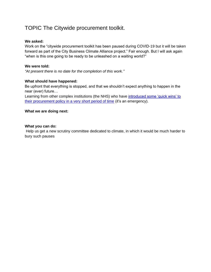## TOPIC The Citywide procurement toolkit.

#### **We asked:**

Work on the "citywide procurement toolkit has been paused during COVID-19 but it will be taken forward as part of the City Business Climate Alliance project." Fair enough. But I will ask again "when is this one going to be ready to be unleashed on a waiting world?"

#### **We were told:**

*"At present there is no date for the completion of this work."*

#### **What should have happened:**

Be upfront that everything is stopped, and that we shouldn't expect anything to happen in the near (ever) future…

Learning from other complex institutions (the NHS) who have introduced some 'quick wins' to [their procurement policy in a very short period of time](https://nhsprocurement.org.uk/nhs-becomes-the-worlds-first-national-health-system-to-commit-to-become-carbon-net-zero-backed-by-clear-deliverables-and-milestones/) (it's an emergency).

#### **What we are doing next:**

#### **What you can do:**

Help us get a new scrutiny committee dedicated to climate, in which it would be much harder to bury such pauses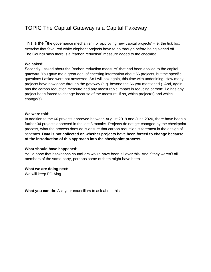## TOPIC The Capital Gateway is a Capital Fakeway

This is the "the governance mechanism for approving new capital projects" -i.e. the tick box exercise that favoured white elephant projects have to go through before being signed off… The Council says there is a "carbon reduction" measure added to the checklist.

#### **We asked:**

Secondly I asked about the "carbon reduction measure" that had been applied to the capital gateway. You gave me a great deal of cheering information about 66 projects, but the specific questions I asked were not answered. So I will ask again, this time with underlining. How many projects have now gone through the gateway (e.g. beyond the 66 you mentioned.). And, again, has the carbon reduction measure had any measurable impact in reducing carbon? i.e has any project been forced to change because of the measure. If so, which project(s) and which change(s).

#### **We were told:**

In addition to the 66 projects approved between August 2019 and June 2020, there have been a further 34 projects approved in the last 3 months. Projects do not get changed by the checkpoint process, what the process does do is ensure that carbon reduction is foremost in the design of schemes. **Data is not collected on whether projects have been forced to change because of the introduction of this approach into the checkpoint process.**

#### **What should have happened:**

You'd hope that backbench councillors would have been all over this. And if they weren't all members of the same party, perhaps some of them might have been.

#### **What we are doing next:**

We will keep FOIAing

**What you can do**: Ask your councillors to ask about this.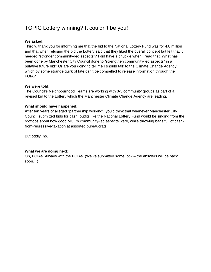## TOPIC Lottery winning? It couldn't be you!

#### **We asked:**

Thirdly, thank you for informing me that the bid to the National Lottery Fund was for 4.8 million and that when refusing the bid the Lottery said that they liked the overall concept but felt that it needed "stronger community-led aspects"? I did have a chuckle when I read that. What has been done by Manchester City Council done to "strengthen community-led aspects" in a putative future bid? Or are you going to tell me I should talk to the Climate Change Agency, which by some strange quirk of fate can't be compelled to release information through the FOIA?

#### **We were told:**

The Council's Neighbourhood Teams are working with 3-5 community groups as part of a revised bid to the Lottery which the Manchester Climate Change Agency are leading.

#### **What should have happened:**

After ten years of alleged "partnership working", you'd think that whenever Manchester City Council submitted bids for cash, outfits like the National Lottery Fund would be singing from the rooftops about how good MCC's community-led aspects were, while throwing bags full of cashfrom-regressive-taxation at assorted bureaucrats.

But oddly, no.

#### **What we are doing next:**

Oh, FOIAs. Always with the FOIAs. (We've submitted some, btw – the answers will be back soon…)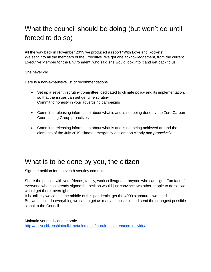# What the council should be doing (but won't do until forced to do so)

All the way back in November 2019 we produced a report "With Love and Rockets" We sent it to all the members of the Executive. We got one acknowledgement, from the current Executive Member for the Environment, who said she would look into it and get back to us.

She never did.

Here is a non-exhaustive list of recommendations

- Set up a seventh scrutiny committee, dedicated to climate policy and its implementation, so that the issues can get genuine scrutiny Commit to honesty in your advertising campaigns
- Commit to releasing information about what is and is not being done by the Zero Carbon Coordinating Group proactively
- Commit to releasing information about what is and is not being achieved around the elements of the July 2019 climate emergency declaration clearly and *proactively*.

## What is to be done by you, the citizen

Sign the petition for a seventh scrutiny committee

Share the petition with your friends, family, work colleagues - anyone who can sign. Fun fact- if everyone who has already signed the petition would just convince two other people to do so, we would get there, overnight.

It is unlikely we can, in the middle of this pandemic, get the 4000 signatures we need.

But we should do everything we can to get as many as possible and send the strongest possible signal to the Council.

Maintain your individual morale <http://activecitizenshiptoolkit.net/elements/morale-maintenance-individual>